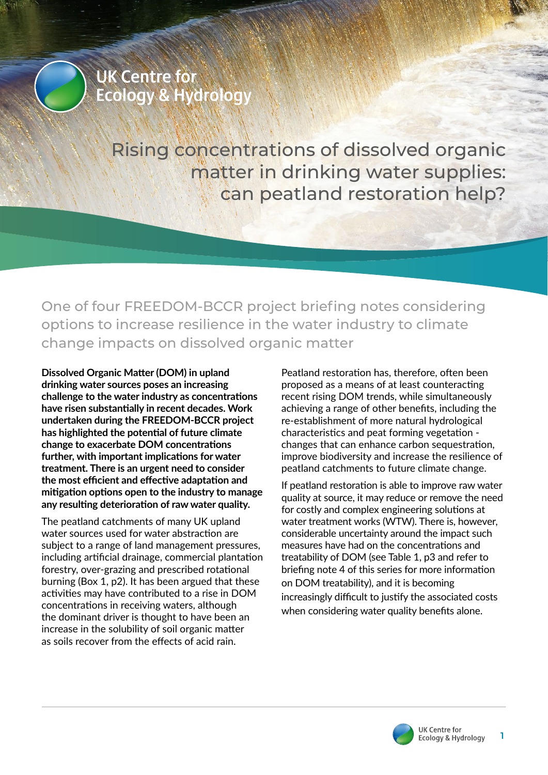

Rising concentrations of dissolved organic matter in drinking water supplies: can peatland restoration help?

One of four FREEDOM-BCCR project briefing notes considering options to increase resilience in the water industry to climate change impacts on dissolved organic matter

**Dissolved Organic Matter (DOM) in upland drinking water sources poses an increasing challenge to the water industry as concentrations have risen substantially in recent decades. Work undertaken during the FREEDOM-BCCR project has highlighted the potential of future climate change to exacerbate DOM concentrations further, with important implications for water treatment. There is an urgent need to consider the most efficient and effective adaptation and mitigation options open to the industry to manage any resulting deterioration of raw water quality.**

The peatland catchments of many UK upland water sources used for water abstraction are subject to a range of land management pressures, including artificial drainage, commercial plantation forestry, over-grazing and prescribed rotational burning (Box 1, p2). It has been argued that these activities may have contributed to a rise in DOM concentrations in receiving waters, although the dominant driver is thought to have been an increase in the solubility of soil organic matter as soils recover from the effects of acid rain.

Peatland restoration has, therefore, often been proposed as a means of at least counteracting recent rising DOM trends, while simultaneously achieving a range of other benefits, including the re-establishment of more natural hydrological characteristics and peat forming vegetation changes that can enhance carbon sequestration, improve biodiversity and increase the resilience of peatland catchments to future climate change.

If peatland restoration is able to improve raw water quality at source, it may reduce or remove the need for costly and complex engineering solutions at water treatment works (WTW). There is, however, considerable uncertainty around the impact such measures have had on the concentrations and treatability of DOM (see Table 1, p3 and refer to briefing note 4 of this series for more information on DOM treatability), and it is becoming increasingly difficult to justify the associated costs when considering water quality benefits alone.

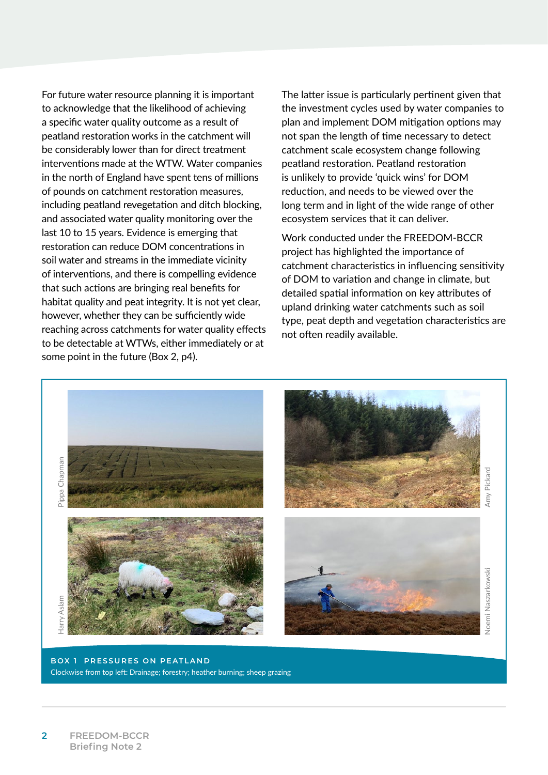For future water resource planning it is important to acknowledge that the likelihood of achieving a specific water quality outcome as a result of peatland restoration works in the catchment will be considerably lower than for direct treatment interventions made at the WTW. Water companies in the north of England have spent tens of millions of pounds on catchment restoration measures, including peatland revegetation and ditch blocking, and associated water quality monitoring over the last 10 to 15 years. Evidence is emerging that restoration can reduce DOM concentrations in soil water and streams in the immediate vicinity of interventions, and there is compelling evidence that such actions are bringing real benefits for habitat quality and peat integrity. It is not yet clear, however, whether they can be sufficiently wide reaching across catchments for water quality effects to be detectable at WTWs, either immediately or at some point in the future (Box 2, p4).

The latter issue is particularly pertinent given that the investment cycles used by water companies to plan and implement DOM mitigation options may not span the length of time necessary to detect catchment scale ecosystem change following peatland restoration. Peatland restoration is unlikely to provide 'quick wins' for DOM reduction, and needs to be viewed over the long term and in light of the wide range of other ecosystem services that it can deliver.

Work conducted under the FREEDOM-BCCR project has highlighted the importance of catchment characteristics in influencing sensitivity of DOM to variation and change in climate, but detailed spatial information on key attributes of upland drinking water catchments such as soil type, peat depth and vegetation characteristics are not often readily available.



**BOX 1 PRESSURES ON PEATLAND**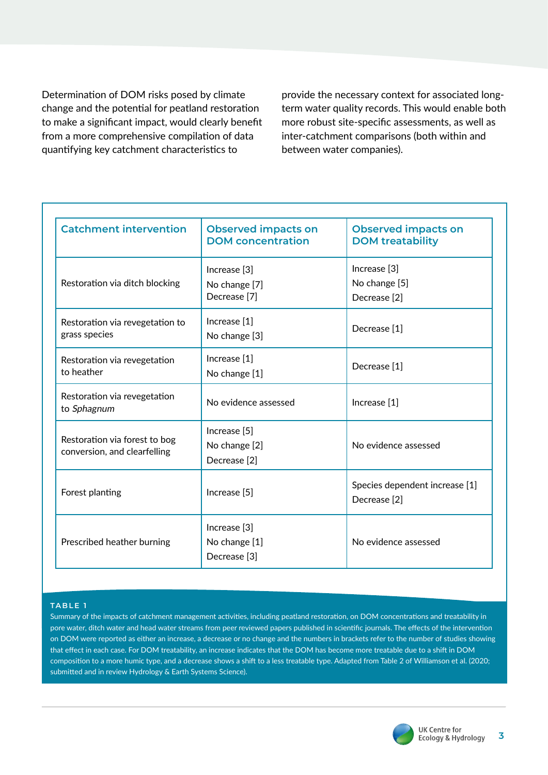Determination of DOM risks posed by climate change and the potential for peatland restoration to make a significant impact, would clearly benefit from a more comprehensive compilation of data quantifying key catchment characteristics to

provide the necessary context for associated longterm water quality records. This would enable both more robust site-specific assessments, as well as inter-catchment comparisons (both within and between water companies).

| <b>Catchment intervention</b>                                 | <b>Observed impacts on</b><br><b>DOM</b> concentration              | <b>Observed impacts on</b><br><b>DOM treatability</b>     |
|---------------------------------------------------------------|---------------------------------------------------------------------|-----------------------------------------------------------|
| Restoration via ditch blocking                                | Increase [3]<br>No change [7]<br>Decrease <sup>[7]</sup>            | Increase [3]<br>No change [5]<br>Decrease <sup>[2]</sup>  |
| Restoration via revegetation to<br>grass species              | Increase [1]<br>No change [3]                                       | Decrease [1]                                              |
| Restoration via revegetation<br>to heather                    | Increase [1]<br>No change [1]                                       | Decrease [1]                                              |
| Restoration via revegetation<br>to Sphagnum                   | No evidence assessed                                                | Increase [1]                                              |
| Restoration via forest to bog<br>conversion, and clearfelling | Increase <sup>[5]</sup><br>No change [2]<br>Decrease <sup>[2]</sup> | No evidence assessed                                      |
| Forest planting                                               | Increase [5]                                                        | Species dependent increase [1]<br>Decrease <sup>[2]</sup> |
| Prescribed heather burning                                    | Increase [3]<br>No change [1]<br>Decrease <sup>[3]</sup>            | No evidence assessed                                      |

## **TABLE 1**

Summary of the impacts of catchment management activities, including peatland restoration, on DOM concentrations and treatability in pore water, ditch water and head water streams from peer reviewed papers published in scientific journals. The effects of the intervention on DOM were reported as either an increase, a decrease or no change and the numbers in brackets refer to the number of studies showing that effect in each case. For DOM treatability, an increase indicates that the DOM has become more treatable due to a shift in DOM composition to a more humic type, and a decrease shows a shift to a less treatable type. Adapted from Table 2 of Williamson et al. (2020; submitted and in review Hydrology & Earth Systems Science).

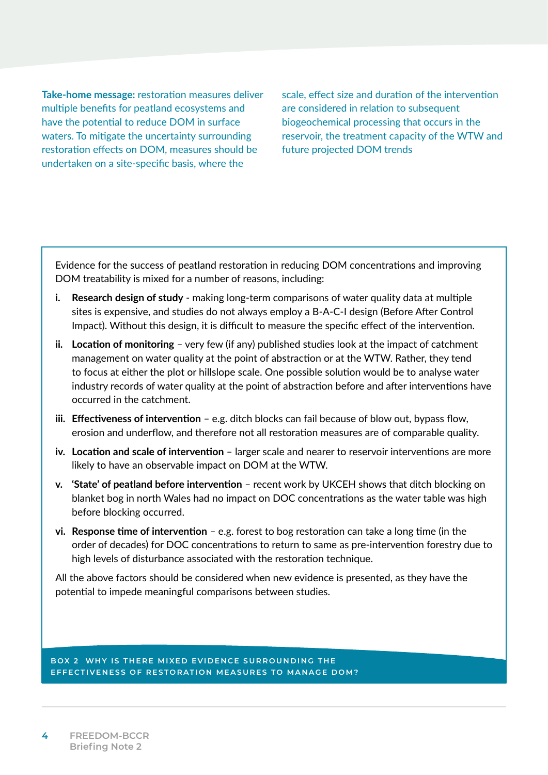**Take-home message:** restoration measures deliver multiple benefits for peatland ecosystems and have the potential to reduce DOM in surface waters. To mitigate the uncertainty surrounding restoration effects on DOM, measures should be undertaken on a site-specific basis, where the

scale, effect size and duration of the intervention are considered in relation to subsequent biogeochemical processing that occurs in the reservoir, the treatment capacity of the WTW and future projected DOM trends

Evidence for the success of peatland restoration in reducing DOM concentrations and improving DOM treatability is mixed for a number of reasons, including:

- **i. Research design of study** making long-term comparisons of water quality data at multiple sites is expensive, and studies do not always employ a B-A-C-I design (Before After Control Impact). Without this design, it is difficult to measure the specific effect of the intervention.
- **ii. Location of monitoring** very few (if any) published studies look at the impact of catchment management on water quality at the point of abstraction or at the WTW. Rather, they tend to focus at either the plot or hillslope scale. One possible solution would be to analyse water industry records of water quality at the point of abstraction before and after interventions have occurred in the catchment.
- **iii. Effectiveness of intervention** e.g. ditch blocks can fail because of blow out, bypass flow, erosion and underflow, and therefore not all restoration measures are of comparable quality.
- **iv. Location and scale of intervention** larger scale and nearer to reservoir interventions are more likely to have an observable impact on DOM at the WTW.
- **v. 'State' of peatland before intervention** recent work by UKCEH shows that ditch blocking on blanket bog in north Wales had no impact on DOC concentrations as the water table was high before blocking occurred.
- **vi. Response time of intervention** e.g. forest to bog restoration can take a long time (in the order of decades) for DOC concentrations to return to same as pre-intervention forestry due to high levels of disturbance associated with the restoration technique.

All the above factors should be considered when new evidence is presented, as they have the potential to impede meaningful comparisons between studies.

**BOX 2 WHY IS THERE MIXED EVIDENCE SURROUNDING THE EFFECTIVENESS OF RESTORATION MEASURES TO MANAGE DOM?**